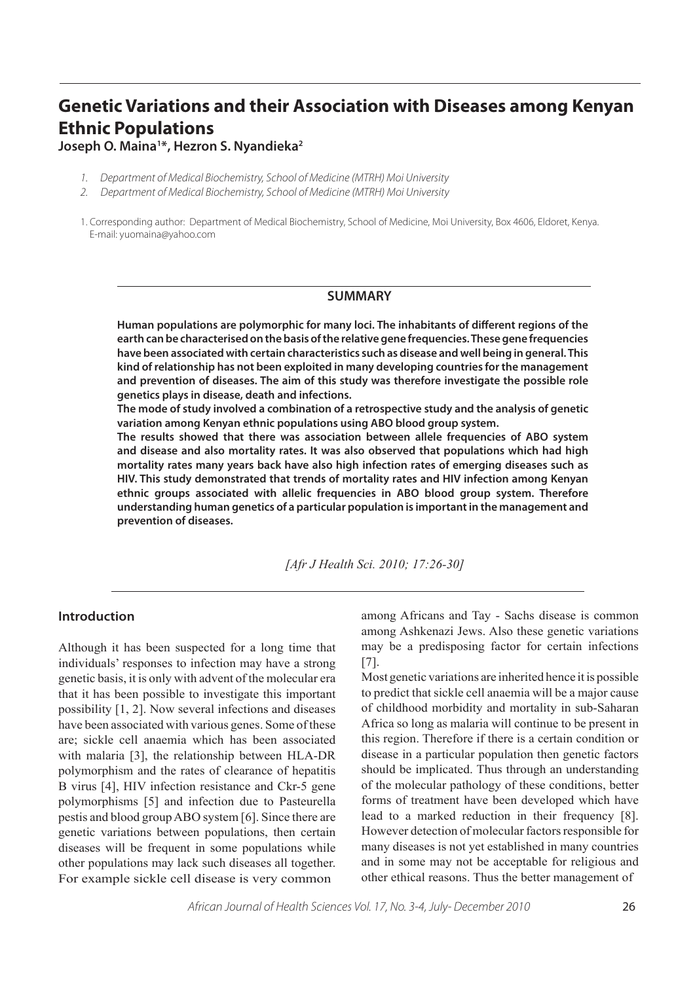# **Genetic Variations and their Association with Diseases among Kenyan Ethnic Populations**

**Joseph O. Maina1 \*, Hezron S. Nyandieka2**

- 1. Department of Medical Biochemistry, School of Medicine (MTRH) Moi University
- 2. Department of Medical Biochemistry, School of Medicine (MTRH) Moi University

1. Corresponding author: Department of Medical Biochemistry, School of Medicine, Moi University, Box 4606, Eldoret, Kenya. E-mail: yuomaina@yahoo.com

### **SUMMARY**

**Human populations are polymorphic for many loci. The inhabitants of different regions of the earth can be characterised on the basis of the relative gene frequencies. These gene frequencies have been associated with certain characteristics such as disease and well being in general. This kind of relationship has not been exploited in many developing countries for the management and prevention of diseases. The aim of this study was therefore investigate the possible role genetics plays in disease, death and infections.**

**The mode of study involved a combination of a retrospective study and the analysis of genetic variation among Kenyan ethnic populations using ABO blood group system.**

**The results showed that there was association between allele frequencies of ABO system and disease and also mortality rates. It was also observed that populations which had high mortality rates many years back have also high infection rates of emerging diseases such as HIV. This study demonstrated that trends of mortality rates and HIV infection among Kenyan ethnic groups associated with allelic frequencies in ABO blood group system. Therefore understanding human genetics of a particular population is important in the management and prevention of diseases.**

*[Afr J Health Sci. 2010; 17:26-30]*

## **Introduction**

Although it has been suspected for a long time that individuals' responses to infection may have a strong genetic basis, it is only with advent of the molecular era that it has been possible to investigate this important possibility [1, 2]. Now several infections and diseases have been associated with various genes. Some of these are; sickle cell anaemia which has been associated with malaria [3], the relationship between HLA-DR polymorphism and the rates of clearance of hepatitis B virus [4], HIV infection resistance and Ckr-5 gene polymorphisms [5] and infection due to Pasteurella pestis and blood group ABO system [6]. Since there are genetic variations between populations, then certain diseases will be frequent in some populations while other populations may lack such diseases all together. For example sickle cell disease is very common

among Africans and Tay - Sachs disease is common among Ashkenazi Jews. Also these genetic variations may be a predisposing factor for certain infections [7].

Most genetic variations are inherited hence it is possible to predict that sickle cell anaemia will be a major cause of childhood morbidity and mortality in sub-Saharan Africa so long as malaria will continue to be present in this region. Therefore if there is a certain condition or disease in a particular population then genetic factors should be implicated. Thus through an understanding of the molecular pathology of these conditions, better forms of treatment have been developed which have lead to a marked reduction in their frequency [8]. However detection of molecular factors responsible for many diseases is not yet established in many countries and in some may not be acceptable for religious and other ethical reasons. Thus the better management of

African Journal of Health Sciences Vol. 17, No. 3-4, July- December 2010 26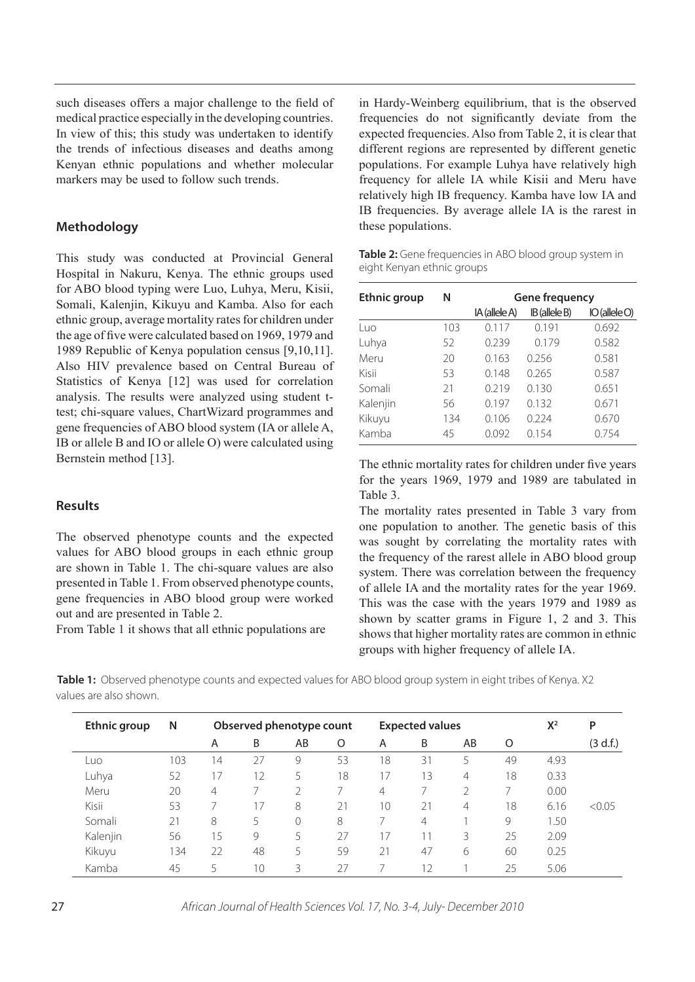such diseases offers a major challenge to the field of medical practice especially in the developing countries. In view of this; this study was undertaken to identify the trends of infectious diseases and deaths among Kenyan ethnic populations and whether molecular markers may be used to follow such trends.

# **Methodology**

This study was conducted at Provincial General Hospital in Nakuru, Kenya. The ethnic groups used for ABO blood typing were Luo, Luhya, Meru, Kisii, Somali, Kalenjin, Kikuyu and Kamba. Also for each ethnic group, average mortality rates for children under the age of five were calculated based on 1969, 1979 and 1989 Republic of Kenya population census [9,10,11]. Also HIV prevalence based on Central Bureau of Statistics of Kenya [12] was used for correlation analysis. The results were analyzed using student ttest; chi-square values, ChartWizard programmes and gene frequencies of ABO blood system (IA or allele A, IB or allele B and IO or allele O) were calculated using Bernstein method [13].

# **Results**

The observed phenotype counts and the expected values for ABO blood groups in each ethnic group are shown in Table 1. The chi-square values are also presented in Table 1. From observed phenotype counts, gene frequencies in ABO blood group were worked out and are presented in Table 2.

From Table 1 it shows that all ethnic populations are

in Hardy-Weinberg equilibrium, that is the observed frequencies do not significantly deviate from the expected frequencies. Also from Table 2, it is clear that different regions are represented by different genetic populations. For example Luhya have relatively high frequency for allele IA while Kisii and Meru have relatively high IB frequency. Kamba have low IA and IB frequencies. By average allele IA is the rarest in these populations.

| Table 2: Gene frequencies in ABO blood group system in |  |  |  |
|--------------------------------------------------------|--|--|--|
| eight Kenyan ethnic groups                             |  |  |  |

| Ethnic group | Ν   | <b>Gene frequency</b> |               |                    |
|--------------|-----|-----------------------|---------------|--------------------|
|              |     | IA (allele A)         | IB (allele B) | $IO$ (allele $O$ ) |
| Luo          | 103 | 0.117                 | 0.191         | 0.692              |
| Luhya        | 52  | 0.239                 | 0.179         | 0.582              |
| Meru         | 20  | 0.163                 | 0.256         | 0.581              |
| Kisii        | 53  | 0.148                 | 0.265         | 0.587              |
| Somali       | 21  | 0.219                 | 0.130         | 0.651              |
| Kalenjin     | 56  | 0.197                 | 0.132         | 0.671              |
| Kikuyu       | 134 | 0.106                 | 0.224         | 0.670              |
| Kamba        | 45  | 0.092                 | 0.154         | 0.754              |

The ethnic mortality rates for children under five years for the years 1969, 1979 and 1989 are tabulated in Table 3.

The mortality rates presented in Table 3 vary from one population to another. The genetic basis of this was sought by correlating the mortality rates with the frequency of the rarest allele in ABO blood group system. There was correlation between the frequency of allele IA and the mortality rates for the year 1969. This was the case with the years 1979 and 1989 as shown by scatter grams in Figure 1, 2 and 3. This shows that higher mortality rates are common in ethnic groups with higher frequency of allele IA.

 **Table 1:** Observed phenotype counts and expected values for ABO blood group system in eight tribes of Kenya. X2 values are also shown.

| <b>Ethnic group</b> | N   |    | Observed phenotype count |    |    |    | <b>Expected values</b> |                          |    | $X^2$ | P        |
|---------------------|-----|----|--------------------------|----|----|----|------------------------|--------------------------|----|-------|----------|
|                     |     | A  | B                        | AB | O  | A  | B                      | AB                       | O  |       | (3 d.f.) |
| Luo                 | 103 | 14 | 27                       | 9  | 53 | 18 | 31                     | 5                        | 49 | 4.93  |          |
| Luhya               | 52  | 17 | 12                       | 5  | 18 | 17 | 13                     | 4                        | 18 | 0.33  |          |
| Meru                | 20  | 4  |                          |    |    | 4  |                        | $\overline{\mathcal{L}}$ |    | 0.00  |          |
| Kisii               | 53  |    | 17                       | 8  | 21 | 10 | 21                     | 4                        | 18 | 6.16  | < 0.05   |
| Somali              | 21  | 8  | 5                        | 0  | 8  |    | 4                      |                          | 9  | 1.50  |          |
| Kalenjin            | 56  | 15 | 9                        | 5  | 27 | 17 | 11                     | 3                        | 25 | 2.09  |          |
| Kikuyu              | 34  | 22 | 48                       | 5  | 59 | 21 | 47                     | 6                        | 60 | 0.25  |          |
| Kamba               | 45  | 5  | 10                       | 3  | 27 |    | 12                     |                          | 25 | 5.06  |          |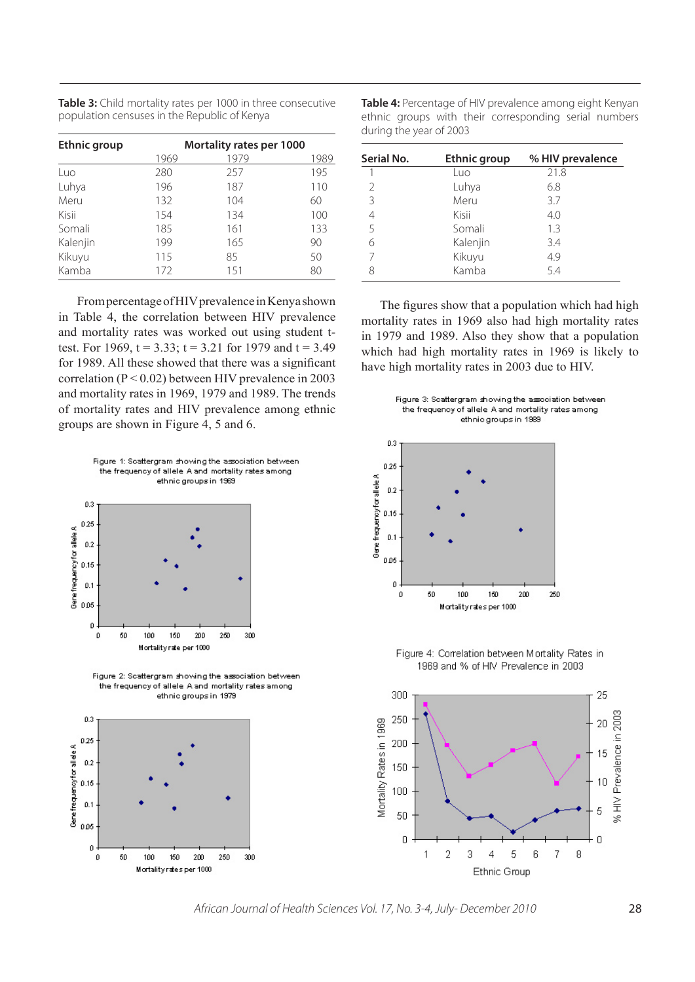| Table 3: Child mortality rates per 1000 in three consecutive |
|--------------------------------------------------------------|
| population censuses in the Republic of Kenya                 |

| <b>Ethnic group</b> | Mortality rates per 1000 |      |      |  |  |
|---------------------|--------------------------|------|------|--|--|
|                     | 1969                     | 1979 | 1989 |  |  |
| Luo                 | 280                      | 257  | 195  |  |  |
| Luhya               | 196                      | 187  | 110  |  |  |
| Meru                | 132                      | 104  | 60   |  |  |
| Kisii               | 154                      | 134  | 100  |  |  |
| Somali              | 185                      | 161  | 133  |  |  |
| Kalenjin            | 199                      | 165  | 90   |  |  |
| Kikuyu              | 115                      | 85   | 50   |  |  |
| Kamba               | 172                      | 151  | 80   |  |  |

From percentage of HIV prevalence in Kenya shown in Table 4, the correlation between HIV prevalence and mortality rates was worked out using student ttest. For 1969,  $t = 3.33$ ;  $t = 3.21$  for 1979 and  $t = 3.49$ for 1989. All these showed that there was a significant correlation ( $P < 0.02$ ) between HIV prevalence in 2003 and mortality rates in 1969, 1979 and 1989. The trends of mortality rates and HIV prevalence among ethnic groups are shown in Figure 4, 5 and 6.





Figure 2: Scattergram showing the association between the frequency of allele A and mortality rates among ethnic groups in 1979



**Table 4:** Percentage of HIV prevalence among eight Kenyan ethnic groups with their corresponding serial numbers during the year of 2003

| Serial No.    | Ethnic group | % HIV prevalence |
|---------------|--------------|------------------|
|               | Luo          | 21.8             |
| $\mathcal{P}$ | Luhya        | 6.8              |
| 3             | Meru         | 3.7              |
| 4             | Kisii        | 4.0              |
| 5             | Somali       | 13               |
| 6             | Kalenjin     | 3.4              |
| 7             | Kikuyu       | 4.9              |
| 8             | Kamba        | 5.4              |

The figures show that a population which had high mortality rates in 1969 also had high mortality rates in 1979 and 1989. Also they show that a population which had high mortality rates in 1969 is likely to have high mortality rates in 2003 due to HIV.





Figure 4: Correlation between Mortality Rates in 1969 and % of HIV Prevalence in 2003



African Journal of Health Sciences Vol. 17, No. 3-4, July- December 2010 28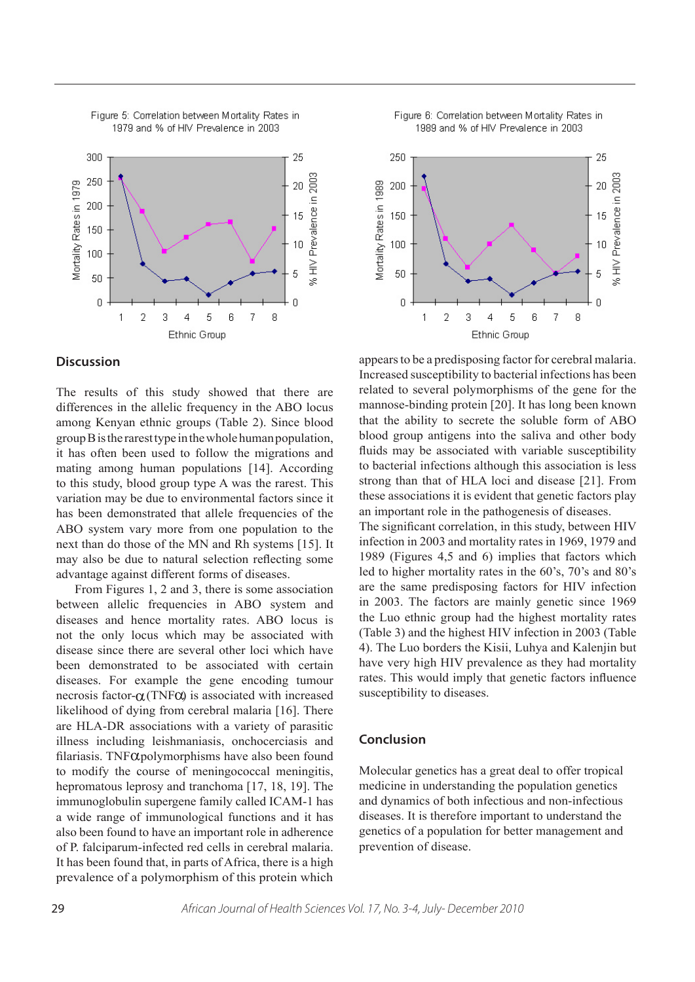

Figure 5: Correlation between Mortality Rates in 1979 and % of HIV Prevalence in 2003

#### **Discussion**

The results of this study showed that there are differences in the allelic frequency in the ABO locus among Kenyan ethnic groups (Table 2). Since blood group B is the rarest type in the whole human population, it has often been used to follow the migrations and mating among human populations [14]. According to this study, blood group type A was the rarest. This variation may be due to environmental factors since it has been demonstrated that allele frequencies of the ABO system vary more from one population to the next than do those of the MN and Rh systems [15]. It may also be due to natural selection reflecting some advantage against different forms of diseases.

From Figures 1, 2 and 3, there is some association between allelic frequencies in ABO system and diseases and hence mortality rates. ABO locus is not the only locus which may be associated with disease since there are several other loci which have been demonstrated to be associated with certain diseases. For example the gene encoding tumour necrosis factor- $\alpha$ (TNF $\alpha$ ) is associated with increased likelihood of dying from cerebral malaria [16]. There are HLA-DR associations with a variety of parasitic illness including leishmaniasis, onchocerciasis and filariasis. TNF $\alpha$ polymorphisms have also been found to modify the course of meningococcal meningitis, hepromatous leprosy and tranchoma [17, 18, 19]. The immunoglobulin supergene family called ICAM-1 has a wide range of immunological functions and it has also been found to have an important role in adherence of P. falciparum-infected red cells in cerebral malaria. It has been found that, in parts of Africa, there is a high prevalence of a polymorphism of this protein which





appears to be a predisposing factor for cerebral malaria. Increased susceptibility to bacterial infections has been related to several polymorphisms of the gene for the mannose-binding protein [20]. It has long been known that the ability to secrete the soluble form of ABO blood group antigens into the saliva and other body fluids may be associated with variable susceptibility to bacterial infections although this association is less strong than that of HLA loci and disease [21]. From these associations it is evident that genetic factors play an important role in the pathogenesis of diseases. The significant correlation, in this study, between HIV infection in 2003 and mortality rates in 1969, 1979 and 1989 (Figures 4,5 and 6) implies that factors which led to higher mortality rates in the 60's, 70's and 80's are the same predisposing factors for HIV infection

in 2003. The factors are mainly genetic since 1969 the Luo ethnic group had the highest mortality rates (Table 3) and the highest HIV infection in 2003 (Table 4). The Luo borders the Kisii, Luhya and Kalenjin but have very high HIV prevalence as they had mortality rates. This would imply that genetic factors influence susceptibility to diseases.

#### **Conclusion**

Molecular genetics has a great deal to offer tropical medicine in understanding the population genetics and dynamics of both infectious and non-infectious diseases. It is therefore important to understand the genetics of a population for better management and prevention of disease.